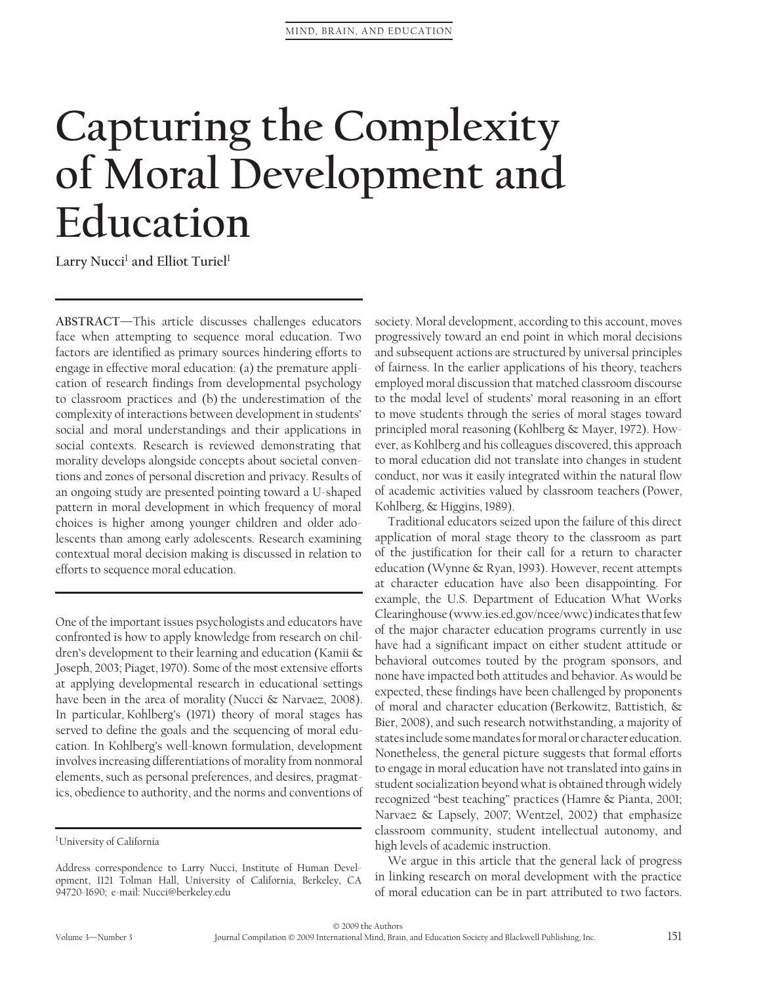# **Capturing the Complexity of Moral Development and Education**

Larry Nucci<sup>1</sup> and Elliot Turiel<sup>1</sup>

**ABSTRACT—**This article discusses challenges educators face when attempting to sequence moral education. Two factors are identified as primary sources hindering efforts to engage in effective moral education: (a) the premature application of research findings from developmental psychology to classroom practices and (b) the underestimation of the complexity of interactions between development in students' social and moral understandings and their applications in social contexts. Research is reviewed demonstrating that morality develops alongside concepts about societal conventions and zones of personal discretion and privacy. Results of an ongoing study are presented pointing toward a U-shaped pattern in moral development in which frequency of moral choices is higher among younger children and older adolescents than among early adolescents. Research examining contextual moral decision making is discussed in relation to efforts to sequence moral education.

One of the important issues psychologists and educators have confronted is how to apply knowledge from research on children's development to their learning and education (Kamii & Joseph, 2003; Piaget, 1970). Some of the most extensive efforts at applying developmental research in educational settings have been in the area of morality (Nucci & Narvaez, 2008). In particular, Kohlberg's (1971) theory of moral stages has served to define the goals and the sequencing of moral education. In Kohlberg's well-known formulation, development involves increasing differentiations of morality from nonmoral elements, such as personal preferences, and desires, pragmatics, obedience to authority, and the norms and conventions of

society. Moral development, according to this account, moves progressively toward an end point in which moral decisions and subsequent actions are structured by universal principles of fairness. In the earlier applications of his theory, teachers employed moral discussion that matched classroom discourse to the modal level of students' moral reasoning in an effort to move students through the series of moral stages toward principled moral reasoning (Kohlberg & Mayer, 1972). However, as Kohlberg and his colleagues discovered, this approach to moral education did not translate into changes in student conduct, nor was it easily integrated within the natural flow of academic activities valued by classroom teachers (Power, Kohlberg, & Higgins, 1989).

Traditional educators seized upon the failure of this direct application of moral stage theory to the classroom as part of the justification for their call for a return to character education (Wynne & Ryan, 1993). However, recent attempts at character education have also been disappointing. For example, the U.S. Department of Education What Works Clearinghouse (www.ies.ed.gov/ncee/wwc)indicates thatfew of the major character education programs currently in use have had a significant impact on either student attitude or behavioral outcomes touted by the program sponsors, and none have impacted both attitudes and behavior. As would be expected, these findings have been challenged by proponents of moral and character education (Berkowitz, Battistich, & Bier, 2008), and such research notwithstanding, a majority of statesinclude some mandatesfor moral or character education. Nonetheless, the general picture suggests that formal efforts to engage in moral education have not translated into gains in student socialization beyond what is obtained through widely recognized ''best teaching'' practices (Hamre & Pianta, 2001; Narvaez & Lapsely, 2007; Wentzel, 2002) that emphasize classroom community, student intellectual autonomy, and high levels of academic instruction.

We argue in this article that the general lack of progress in linking research on moral development with the practice of moral education can be in part attributed to two factors.

<sup>1</sup> University of California

Address correspondence to Larry Nucci, Institute of Human Development, 1121 Tolman Hall, University of California, Berkeley, CA 94720-1690; e-mail: Nucci@berkeley.edu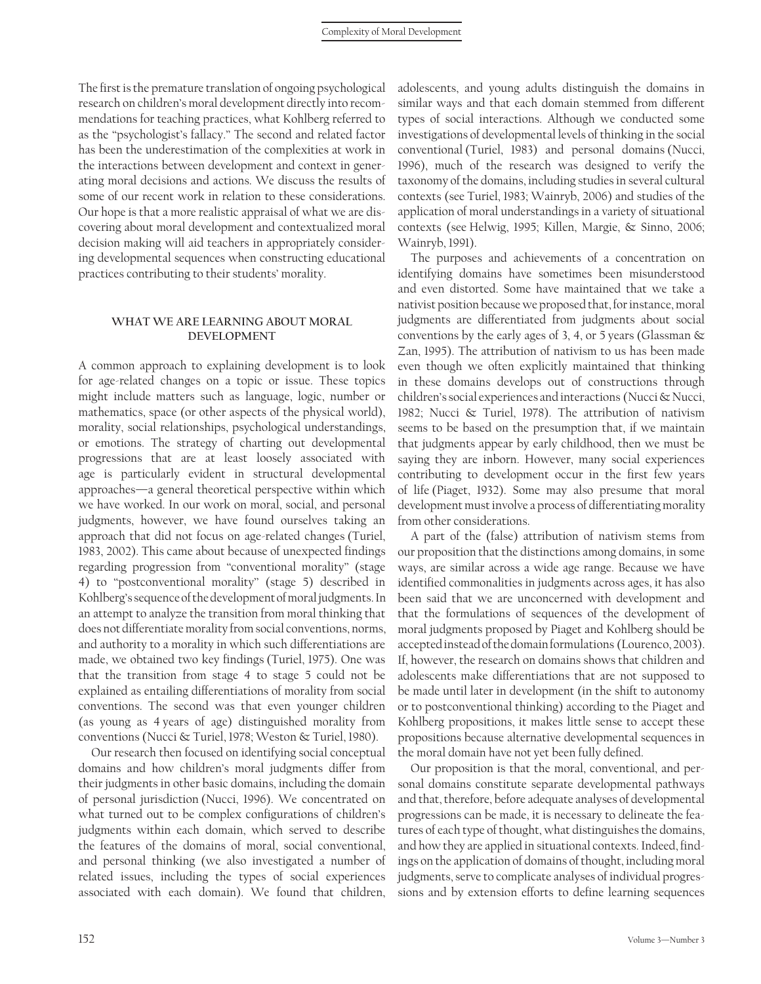The first is the premature translation of ongoing psychological research on children's moral development directly into recommendations for teaching practices, what Kohlberg referred to as the ''psychologist's fallacy.'' The second and related factor has been the underestimation of the complexities at work in the interactions between development and context in generating moral decisions and actions. We discuss the results of some of our recent work in relation to these considerations. Our hope is that a more realistic appraisal of what we are discovering about moral development and contextualized moral decision making will aid teachers in appropriately considering developmental sequences when constructing educational practices contributing to their students' morality.

### **WHAT WE ARE LEARNING ABOUT MORAL DEVELOPMENT**

A common approach to explaining development is to look for age-related changes on a topic or issue. These topics might include matters such as language, logic, number or mathematics, space (or other aspects of the physical world), morality, social relationships, psychological understandings, or emotions. The strategy of charting out developmental progressions that are at least loosely associated with age is particularly evident in structural developmental approaches—a general theoretical perspective within which we have worked. In our work on moral, social, and personal judgments, however, we have found ourselves taking an approach that did not focus on age-related changes (Turiel, 1983, 2002). This came about because of unexpected findings regarding progression from "conventional morality" (stage 4) to ''postconventional morality'' (stage 5) described in Kohlberg's sequence of the development of moral judgments. In an attempt to analyze the transition from moral thinking that does not differentiate morality from social conventions, norms, and authority to a morality in which such differentiations are made, we obtained two key findings (Turiel, 1975). One was that the transition from stage 4 to stage 5 could not be explained as entailing differentiations of morality from social conventions. The second was that even younger children (as young as 4 years of age) distinguished morality from conventions (Nucci & Turiel, 1978; Weston & Turiel, 1980).

Our research then focused on identifying social conceptual domains and how children's moral judgments differ from their judgments in other basic domains, including the domain of personal jurisdiction (Nucci, 1996). We concentrated on what turned out to be complex configurations of children's judgments within each domain, which served to describe the features of the domains of moral, social conventional, and personal thinking (we also investigated a number of related issues, including the types of social experiences associated with each domain). We found that children,

adolescents, and young adults distinguish the domains in similar ways and that each domain stemmed from different types of social interactions. Although we conducted some investigations of developmental levels of thinking in the social conventional (Turiel, 1983) and personal domains (Nucci, 1996), much of the research was designed to verify the taxonomy of the domains, including studies in several cultural contexts (see Turiel, 1983; Wainryb, 2006) and studies of the application of moral understandings in a variety of situational contexts (see Helwig, 1995; Killen, Margie, & Sinno, 2006; Wainryb, 1991).

The purposes and achievements of a concentration on identifying domains have sometimes been misunderstood and even distorted. Some have maintained that we take a nativist position because we proposed that, for instance, moral judgments are differentiated from judgments about social conventions by the early ages of 3, 4, or 5 years (Glassman  $\&$ Zan, 1995). The attribution of nativism to us has been made even though we often explicitly maintained that thinking in these domains develops out of constructions through children's social experiences and interactions (Nucci& Nucci, 1982; Nucci & Turiel, 1978). The attribution of nativism seems to be based on the presumption that, if we maintain that judgments appear by early childhood, then we must be saying they are inborn. However, many social experiences contributing to development occur in the first few years of life (Piaget, 1932). Some may also presume that moral development must involve a process of differentiating morality from other considerations.

A part of the (false) attribution of nativism stems from our proposition that the distinctions among domains, in some ways, are similar across a wide age range. Because we have identified commonalities in judgments across ages, it has also been said that we are unconcerned with development and that the formulations of sequences of the development of moral judgments proposed by Piaget and Kohlberg should be acceptedinsteadof the domainformulations (Lourenco,2003). If, however, the research on domains shows that children and adolescents make differentiations that are not supposed to be made until later in development (in the shift to autonomy or to postconventional thinking) according to the Piaget and Kohlberg propositions, it makes little sense to accept these propositions because alternative developmental sequences in the moral domain have not yet been fully defined.

Our proposition is that the moral, conventional, and personal domains constitute separate developmental pathways and that, therefore, before adequate analyses of developmental progressions can be made, it is necessary to delineate the features of each type of thought, what distinguishes the domains, and how they are applied in situational contexts. Indeed, findings on the application of domains of thought, including moral judgments, serve to complicate analyses of individual progressions and by extension efforts to define learning sequences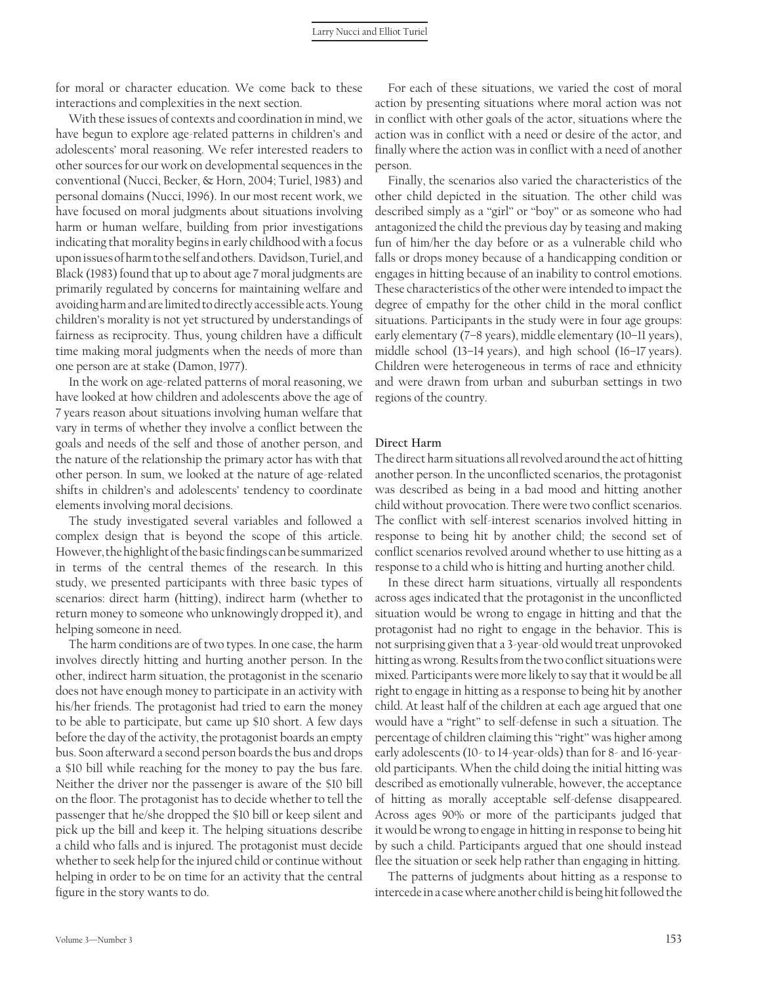for moral or character education. We come back to these interactions and complexities in the next section.

With these issues of contexts and coordination in mind, we have begun to explore age-related patterns in children's and adolescents' moral reasoning. We refer interested readers to other sources for our work on developmental sequences in the conventional (Nucci, Becker, & Horn, 2004; Turiel, 1983) and personal domains (Nucci, 1996). In our most recent work, we have focused on moral judgments about situations involving harm or human welfare, building from prior investigations indicating that morality begins in early childhood with a focus uponissuesof harm to the self andothers. Davidson,Turiel, and Black (1983) found that up to about age 7 moral judgments are primarily regulated by concerns for maintaining welfare and avoiding harm and arelimited to directly accessible acts. Young children's morality is not yet structured by understandings of fairness as reciprocity. Thus, young children have a difficult time making moral judgments when the needs of more than one person are at stake (Damon, 1977).

In the work on age-related patterns of moral reasoning, we have looked at how children and adolescents above the age of 7 years reason about situations involving human welfare that vary in terms of whether they involve a conflict between the goals and needs of the self and those of another person, and the nature of the relationship the primary actor has with that other person. In sum, we looked at the nature of age-related shifts in children's and adolescents' tendency to coordinate elements involving moral decisions.

The study investigated several variables and followed a complex design that is beyond the scope of this article. However, the highlightof the basic findings can be summarized in terms of the central themes of the research. In this study, we presented participants with three basic types of scenarios: direct harm (hitting), indirect harm (whether to return money to someone who unknowingly dropped it), and helping someone in need.

The harm conditions are of two types. In one case, the harm involves directly hitting and hurting another person. In the other, indirect harm situation, the protagonist in the scenario does not have enough money to participate in an activity with his/her friends. The protagonist had tried to earn the money to be able to participate, but came up \$10 short. A few days before the day of the activity, the protagonist boards an empty bus. Soon afterward a second person boards the bus and drops a \$10 bill while reaching for the money to pay the bus fare. Neither the driver nor the passenger is aware of the \$10 bill on the floor. The protagonist has to decide whether to tell the passenger that he/she dropped the \$10 bill or keep silent and pick up the bill and keep it. The helping situations describe a child who falls and is injured. The protagonist must decide whether to seek help for the injured child or continue without helping in order to be on time for an activity that the central figure in the story wants to do.

For each of these situations, we varied the cost of moral action by presenting situations where moral action was not in conflict with other goals of the actor, situations where the action was in conflict with a need or desire of the actor, and finally where the action was in conflict with a need of another person.

Finally, the scenarios also varied the characteristics of the other child depicted in the situation. The other child was described simply as a ''girl'' or ''boy'' or as someone who had antagonized the child the previous day by teasing and making fun of him/her the day before or as a vulnerable child who falls or drops money because of a handicapping condition or engages in hitting because of an inability to control emotions. These characteristics of the other were intended to impact the degree of empathy for the other child in the moral conflict situations. Participants in the study were in four age groups: early elementary (7–8 years), middle elementary (10–11 years), middle school (13–14 years), and high school (16–17 years). Children were heterogeneous in terms of race and ethnicity and were drawn from urban and suburban settings in two regions of the country.

### **Direct Harm**

The direct harm situations all revolved around the act of hitting another person. In the unconflicted scenarios, the protagonist was described as being in a bad mood and hitting another child without provocation. There were two conflict scenarios. The conflict with self-interest scenarios involved hitting in response to being hit by another child; the second set of conflict scenarios revolved around whether to use hitting as a response to a child who is hitting and hurting another child.

In these direct harm situations, virtually all respondents across ages indicated that the protagonist in the unconflicted situation would be wrong to engage in hitting and that the protagonist had no right to engage in the behavior. This is not surprising given that a 3-year-old would treat unprovoked hitting as wrong. Results from the two conflict situations were mixed. Participants were more likely to say that it would be all right to engage in hitting as a response to being hit by another child. At least half of the children at each age argued that one would have a ''right'' to self-defense in such a situation. The percentage of children claiming this "right" was higher among early adolescents (10- to 14-year-olds) than for 8- and 16-yearold participants. When the child doing the initial hitting was described as emotionally vulnerable, however, the acceptance of hitting as morally acceptable self-defense disappeared. Across ages 90% or more of the participants judged that it would be wrong to engage in hitting in response to being hit by such a child. Participants argued that one should instead flee the situation or seek help rather than engaging in hitting.

The patterns of judgments about hitting as a response to intercede in a case where another child is being hit followed the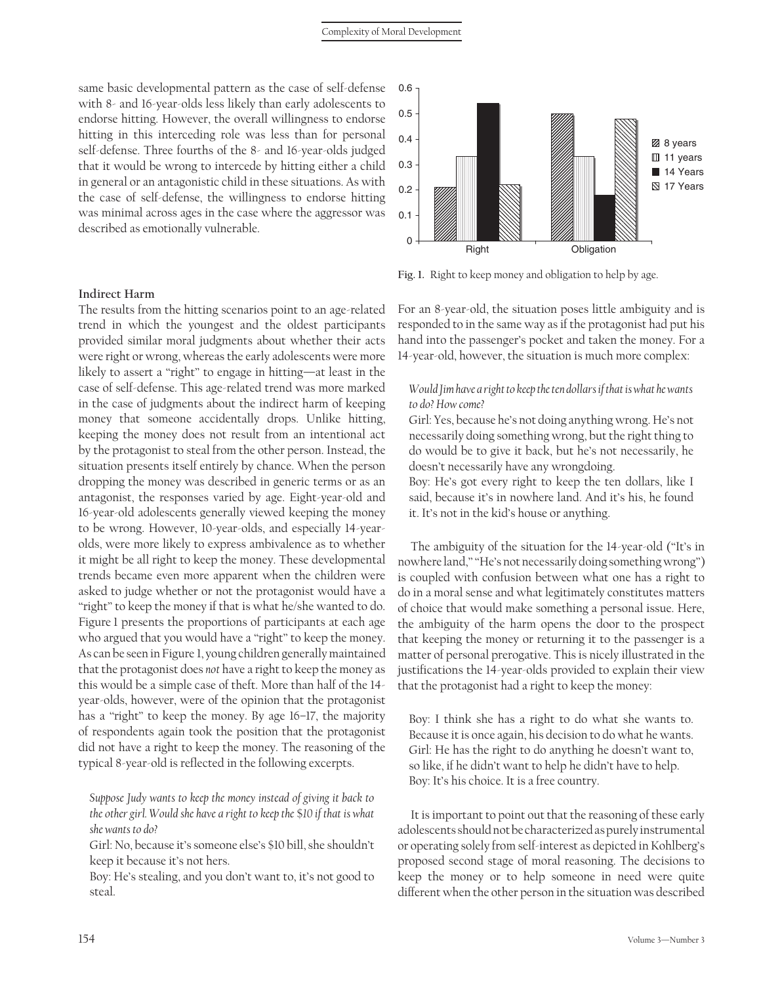same basic developmental pattern as the case of self-defense with 8- and 16-year-olds less likely than early adolescents to endorse hitting. However, the overall willingness to endorse hitting in this interceding role was less than for personal self-defense. Three fourths of the 8- and 16-year-olds judged that it would be wrong to intercede by hitting either a child in general or an antagonistic child in these situations. As with the case of self-defense, the willingness to endorse hitting was minimal across ages in the case where the aggressor was described as emotionally vulnerable.



**Fig. 1.** Right to keep money and obligation to help by age.

## **Indirect Harm**

The results from the hitting scenarios point to an age-related trend in which the youngest and the oldest participants provided similar moral judgments about whether their acts were right or wrong, whereas the early adolescents were more likely to assert a ''right'' to engage in hitting—at least in the case of self-defense. This age-related trend was more marked in the case of judgments about the indirect harm of keeping money that someone accidentally drops. Unlike hitting, keeping the money does not result from an intentional act by the protagonist to steal from the other person. Instead, the situation presents itself entirely by chance. When the person dropping the money was described in generic terms or as an antagonist, the responses varied by age. Eight-year-old and 16-year-old adolescents generally viewed keeping the money to be wrong. However, 10-year-olds, and especially 14-yearolds, were more likely to express ambivalence as to whether it might be all right to keep the money. These developmental trends became even more apparent when the children were asked to judge whether or not the protagonist would have a "right" to keep the money if that is what he/she wanted to do. Figure 1 presents the proportions of participants at each age who argued that you would have a "right" to keep the money. As can be seen in Figure 1, young children generally maintained that the protagonist does *not* have a right to keep the money as this would be a simple case of theft. More than half of the 14 year-olds, however, were of the opinion that the protagonist has a "right" to keep the money. By age 16-17, the majority of respondents again took the position that the protagonist did not have a right to keep the money. The reasoning of the typical 8-year-old is reflected in the following excerpts.

*Suppose Judy wants to keep the money instead of giving it back to the other girl. Would she have a right to keep the* \$*10 if that is what she wants to do?*

Girl: No, because it's someone else's \$10 bill, she shouldn't keep it because it's not hers.

Boy: He's stealing, and you don't want to, it's not good to steal.

For an 8-year-old, the situation poses little ambiguity and is responded to in the same way as if the protagonist had put his hand into the passenger's pocket and taken the money. For a 14-year-old, however, the situation is much more complex:

## *Would Jim have a right to keep the ten dollars if that is what he wants to do? How come?*

Girl: Yes, because he's not doing anything wrong. He's not necessarily doing something wrong, but the right thing to do would be to give it back, but he's not necessarily, he doesn't necessarily have any wrongdoing.

Boy: He's got every right to keep the ten dollars, like I said, because it's in nowhere land. And it's his, he found it. It's not in the kid's house or anything.

The ambiguity of the situation for the 14-year-old ("It's in nowhere land,'' ''He's not necessarily doing something wrong'') is coupled with confusion between what one has a right to do in a moral sense and what legitimately constitutes matters of choice that would make something a personal issue. Here, the ambiguity of the harm opens the door to the prospect that keeping the money or returning it to the passenger is a matter of personal prerogative. This is nicely illustrated in the justifications the 14-year-olds provided to explain their view that the protagonist had a right to keep the money:

Boy: I think she has a right to do what she wants to. Because it is once again, his decision to do what he wants. Girl: He has the right to do anything he doesn't want to, so like, if he didn't want to help he didn't have to help. Boy: It's his choice. It is a free country.

It is important to point out that the reasoning of these early adolescents should not be characterized as purely instrumental or operating solely from self-interest as depicted in Kohlberg's proposed second stage of moral reasoning. The decisions to keep the money or to help someone in need were quite different when the other person in the situation was described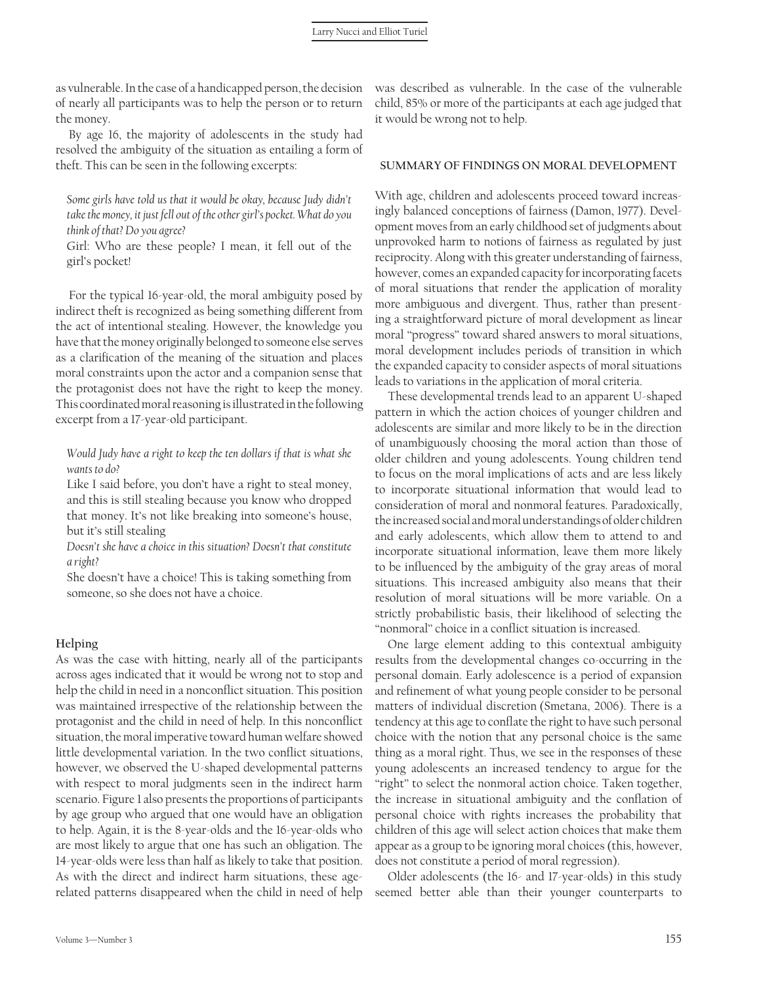as vulnerable. In the case of a handicapped person, the decision of nearly all participants was to help the person or to return the money.

By age 16, the majority of adolescents in the study had resolved the ambiguity of the situation as entailing a form of theft. This can be seen in the following excerpts:

*Some girls have told us that it would be okay, because Judy didn't take the money, it just fell out of the other girl's pocket. What do you think of that? Do you agree?*

Girl: Who are these people? I mean, it fell out of the girl's pocket!

For the typical 16-year-old, the moral ambiguity posed by indirect theft is recognized as being something different from the act of intentional stealing. However, the knowledge you have that the money originally belonged to someone else serves as a clarification of the meaning of the situation and places moral constraints upon the actor and a companion sense that the protagonist does not have the right to keep the money. This coordinated moral reasoning is illustrated in the following excerpt from a 17-year-old participant.

## *Would Judy have a right to keep the ten dollars if that is what she wants to do?*

Like I said before, you don't have a right to steal money, and this is still stealing because you know who dropped that money. It's not like breaking into someone's house, but it's still stealing

*Doesn't she have a choice in this situation? Doesn't that constitute a right?*

She doesn't have a choice! This is taking something from someone, so she does not have a choice.

## **Helping**

As was the case with hitting, nearly all of the participants across ages indicated that it would be wrong not to stop and help the child in need in a nonconflict situation. This position was maintained irrespective of the relationship between the protagonist and the child in need of help. In this nonconflict situation, the moral imperative toward human welfare showed little developmental variation. In the two conflict situations, however, we observed the U-shaped developmental patterns with respect to moral judgments seen in the indirect harm scenario. Figure 1 also presents the proportions of participants by age group who argued that one would have an obligation to help. Again, it is the 8-year-olds and the 16-year-olds who are most likely to argue that one has such an obligation. The 14-year-olds were less than half as likely to take that position. As with the direct and indirect harm situations, these agerelated patterns disappeared when the child in need of help

was described as vulnerable. In the case of the vulnerable child, 85% or more of the participants at each age judged that it would be wrong not to help.

## **SUMMARY OF FINDINGS ON MORAL DEVELOPMENT**

With age, children and adolescents proceed toward increasingly balanced conceptions of fairness (Damon, 1977). Development moves from an early childhood set of judgments about unprovoked harm to notions of fairness as regulated by just reciprocity. Along with this greater understanding of fairness, however, comes an expanded capacity for incorporating facets of moral situations that render the application of morality more ambiguous and divergent. Thus, rather than presenting a straightforward picture of moral development as linear moral ''progress'' toward shared answers to moral situations, moral development includes periods of transition in which the expanded capacity to consider aspects of moral situations leads to variations in the application of moral criteria.

These developmental trends lead to an apparent U-shaped pattern in which the action choices of younger children and adolescents are similar and more likely to be in the direction of unambiguously choosing the moral action than those of older children and young adolescents. Young children tend to focus on the moral implications of acts and are less likely to incorporate situational information that would lead to consideration of moral and nonmoral features. Paradoxically, the increased social and moral understandings of older children and early adolescents, which allow them to attend to and incorporate situational information, leave them more likely to be influenced by the ambiguity of the gray areas of moral situations. This increased ambiguity also means that their resolution of moral situations will be more variable. On a strictly probabilistic basis, their likelihood of selecting the ''nonmoral'' choice in a conflict situation is increased.

One large element adding to this contextual ambiguity results from the developmental changes co-occurring in the personal domain. Early adolescence is a period of expansion and refinement of what young people consider to be personal matters of individual discretion (Smetana, 2006). There is a tendency at this age to conflate the right to have such personal choice with the notion that any personal choice is the same thing as a moral right. Thus, we see in the responses of these young adolescents an increased tendency to argue for the "right" to select the nonmoral action choice. Taken together, the increase in situational ambiguity and the conflation of personal choice with rights increases the probability that children of this age will select action choices that make them appear as a group to be ignoring moral choices (this, however, does not constitute a period of moral regression).

Older adolescents (the 16- and 17-year-olds) in this study seemed better able than their younger counterparts to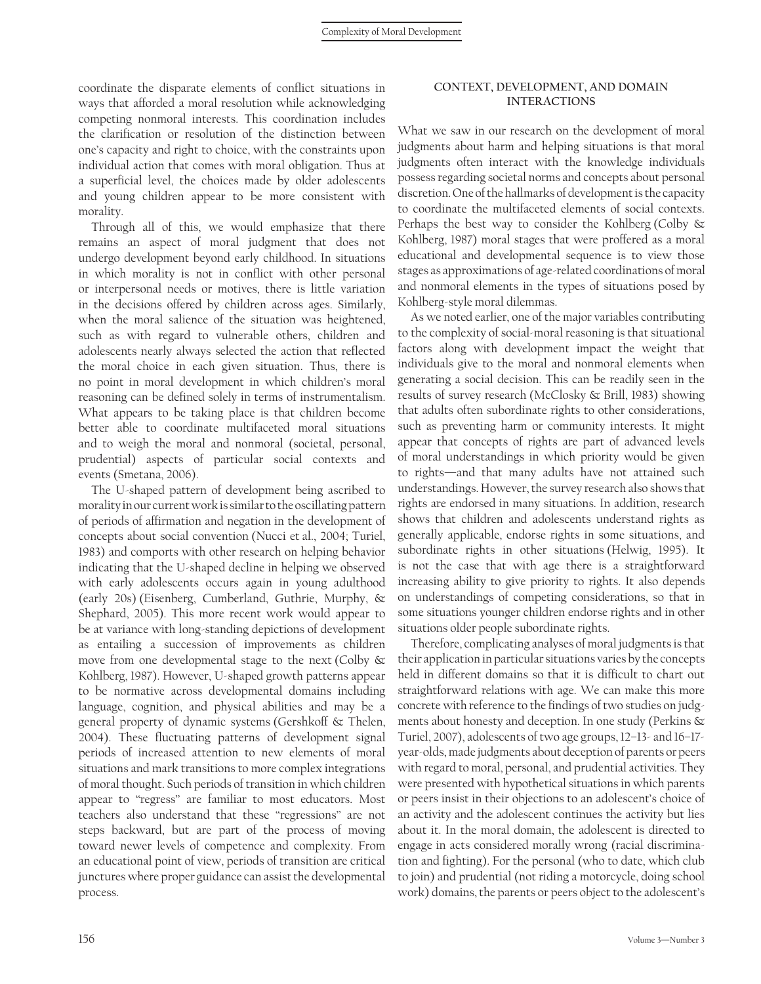coordinate the disparate elements of conflict situations in ways that afforded a moral resolution while acknowledging competing nonmoral interests. This coordination includes the clarification or resolution of the distinction between one's capacity and right to choice, with the constraints upon individual action that comes with moral obligation. Thus at a superficial level, the choices made by older adolescents and young children appear to be more consistent with morality.

Through all of this, we would emphasize that there remains an aspect of moral judgment that does not undergo development beyond early childhood. In situations in which morality is not in conflict with other personal or interpersonal needs or motives, there is little variation in the decisions offered by children across ages. Similarly, when the moral salience of the situation was heightened, such as with regard to vulnerable others, children and adolescents nearly always selected the action that reflected the moral choice in each given situation. Thus, there is no point in moral development in which children's moral reasoning can be defined solely in terms of instrumentalism. What appears to be taking place is that children become better able to coordinate multifaceted moral situations and to weigh the moral and nonmoral (societal, personal, prudential) aspects of particular social contexts and events (Smetana, 2006).

The U-shaped pattern of development being ascribed to morality in our current work is similar to the oscillating pattern of periods of affirmation and negation in the development of concepts about social convention (Nucci et al., 2004; Turiel, 1983) and comports with other research on helping behavior indicating that the U-shaped decline in helping we observed with early adolescents occurs again in young adulthood (early 20s) (Eisenberg, Cumberland, Guthrie, Murphy, & Shephard, 2005). This more recent work would appear to be at variance with long-standing depictions of development as entailing a succession of improvements as children move from one developmental stage to the next (Colby & Kohlberg, 1987). However, U-shaped growth patterns appear to be normative across developmental domains including language, cognition, and physical abilities and may be a general property of dynamic systems (Gershkoff & Thelen, 2004). These fluctuating patterns of development signal periods of increased attention to new elements of moral situations and mark transitions to more complex integrations of moral thought. Such periods of transition in which children appear to "regress" are familiar to most educators. Most teachers also understand that these ''regressions'' are not steps backward, but are part of the process of moving toward newer levels of competence and complexity. From an educational point of view, periods of transition are critical junctures where proper guidance can assist the developmental process.

#### **CONTEXT, DEVELOPMENT, AND DOMAIN INTERACTIONS**

What we saw in our research on the development of moral judgments about harm and helping situations is that moral judgments often interact with the knowledge individuals possess regarding societal norms and concepts about personal discretion. One of the hallmarks of development is the capacity to coordinate the multifaceted elements of social contexts. Perhaps the best way to consider the Kohlberg (Colby & Kohlberg, 1987) moral stages that were proffered as a moral educational and developmental sequence is to view those stages as approximations of age-related coordinations of moral and nonmoral elements in the types of situations posed by Kohlberg-style moral dilemmas.

As we noted earlier, one of the major variables contributing to the complexity of social-moral reasoning is that situational factors along with development impact the weight that individuals give to the moral and nonmoral elements when generating a social decision. This can be readily seen in the results of survey research (McClosky & Brill, 1983) showing that adults often subordinate rights to other considerations, such as preventing harm or community interests. It might appear that concepts of rights are part of advanced levels of moral understandings in which priority would be given to rights—and that many adults have not attained such understandings. However, the survey research also shows that rights are endorsed in many situations. In addition, research shows that children and adolescents understand rights as generally applicable, endorse rights in some situations, and subordinate rights in other situations (Helwig, 1995). It is not the case that with age there is a straightforward increasing ability to give priority to rights. It also depends on understandings of competing considerations, so that in some situations younger children endorse rights and in other situations older people subordinate rights.

Therefore, complicating analyses of moral judgments is that their application in particular situations varies by the concepts held in different domains so that it is difficult to chart out straightforward relations with age. We can make this more concrete with reference to the findings of two studies on judgments about honesty and deception. In one study (Perkins & Turiel, 2007), adolescents of two age groups, 12–13- and 16–17 year-olds, made judgments about deception of parents or peers with regard to moral, personal, and prudential activities. They were presented with hypothetical situations in which parents or peers insist in their objections to an adolescent's choice of an activity and the adolescent continues the activity but lies about it. In the moral domain, the adolescent is directed to engage in acts considered morally wrong (racial discrimination and fighting). For the personal (who to date, which club to join) and prudential (not riding a motorcycle, doing school work) domains, the parents or peers object to the adolescent's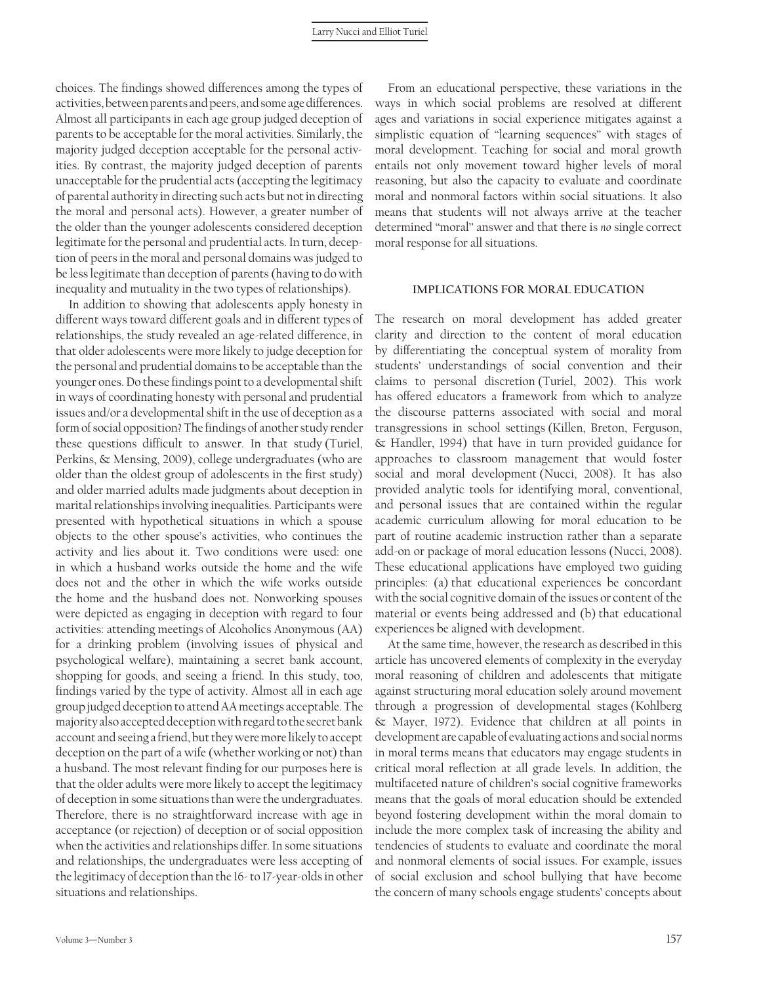choices. The findings showed differences among the types of activities, between parents and peers, and some age differences. Almost all participants in each age group judged deception of parents to be acceptable for the moral activities. Similarly, the majority judged deception acceptable for the personal activities. By contrast, the majority judged deception of parents unacceptable for the prudential acts (accepting the legitimacy of parental authority in directing such acts but not in directing the moral and personal acts). However, a greater number of the older than the younger adolescents considered deception legitimate for the personal and prudential acts. In turn, deception of peers in the moral and personal domains was judged to be less legitimate than deception of parents (having to do with inequality and mutuality in the two types of relationships).

In addition to showing that adolescents apply honesty in different ways toward different goals and in different types of relationships, the study revealed an age-related difference, in that older adolescents were more likely to judge deception for the personal and prudential domains to be acceptable than the younger ones. Do these findings point to a developmental shift in ways of coordinating honesty with personal and prudential issues and/or a developmental shift in the use of deception as a form of social opposition? The findings of another study render these questions difficult to answer. In that study (Turiel, Perkins, & Mensing, 2009), college undergraduates (who are older than the oldest group of adolescents in the first study) and older married adults made judgments about deception in marital relationships involving inequalities. Participants were presented with hypothetical situations in which a spouse objects to the other spouse's activities, who continues the activity and lies about it. Two conditions were used: one in which a husband works outside the home and the wife does not and the other in which the wife works outside the home and the husband does not. Nonworking spouses were depicted as engaging in deception with regard to four activities: attending meetings of Alcoholics Anonymous (AA) for a drinking problem (involving issues of physical and psychological welfare), maintaining a secret bank account, shopping for goods, and seeing a friend. In this study, too, findings varied by the type of activity. Almost all in each age group judged deception to attend AA meetings acceptable. The majority also accepted deceptionwith regard to the secret bank account and seeing afriend, but they were morelikely to accept deception on the part of a wife (whether working or not) than a husband. The most relevant finding for our purposes here is that the older adults were more likely to accept the legitimacy of deception in some situations than were the undergraduates. Therefore, there is no straightforward increase with age in acceptance (or rejection) of deception or of social opposition when the activities and relationships differ. In some situations and relationships, the undergraduates were less accepting of the legitimacy of deception than the 16- to 17-year-olds in other situations and relationships.

From an educational perspective, these variations in the ways in which social problems are resolved at different ages and variations in social experience mitigates against a simplistic equation of ''learning sequences'' with stages of moral development. Teaching for social and moral growth entails not only movement toward higher levels of moral reasoning, but also the capacity to evaluate and coordinate moral and nonmoral factors within social situations. It also means that students will not always arrive at the teacher determined ''moral'' answer and that there is *no* single correct moral response for all situations.

## **IMPLICATIONS FOR MORAL EDUCATION**

The research on moral development has added greater clarity and direction to the content of moral education by differentiating the conceptual system of morality from students' understandings of social convention and their claims to personal discretion (Turiel, 2002). This work has offered educators a framework from which to analyze the discourse patterns associated with social and moral transgressions in school settings (Killen, Breton, Ferguson, & Handler, 1994) that have in turn provided guidance for approaches to classroom management that would foster social and moral development (Nucci, 2008). It has also provided analytic tools for identifying moral, conventional, and personal issues that are contained within the regular academic curriculum allowing for moral education to be part of routine academic instruction rather than a separate add-on or package of moral education lessons (Nucci, 2008). These educational applications have employed two guiding principles: (a) that educational experiences be concordant with the social cognitive domain of the issues or content of the material or events being addressed and (b) that educational experiences be aligned with development.

At the same time, however, the research as described in this article has uncovered elements of complexity in the everyday moral reasoning of children and adolescents that mitigate against structuring moral education solely around movement through a progression of developmental stages (Kohlberg & Mayer, 1972). Evidence that children at all points in development are capableof evaluating actions and social norms in moral terms means that educators may engage students in critical moral reflection at all grade levels. In addition, the multifaceted nature of children's social cognitive frameworks means that the goals of moral education should be extended beyond fostering development within the moral domain to include the more complex task of increasing the ability and tendencies of students to evaluate and coordinate the moral and nonmoral elements of social issues. For example, issues of social exclusion and school bullying that have become the concern of many schools engage students' concepts about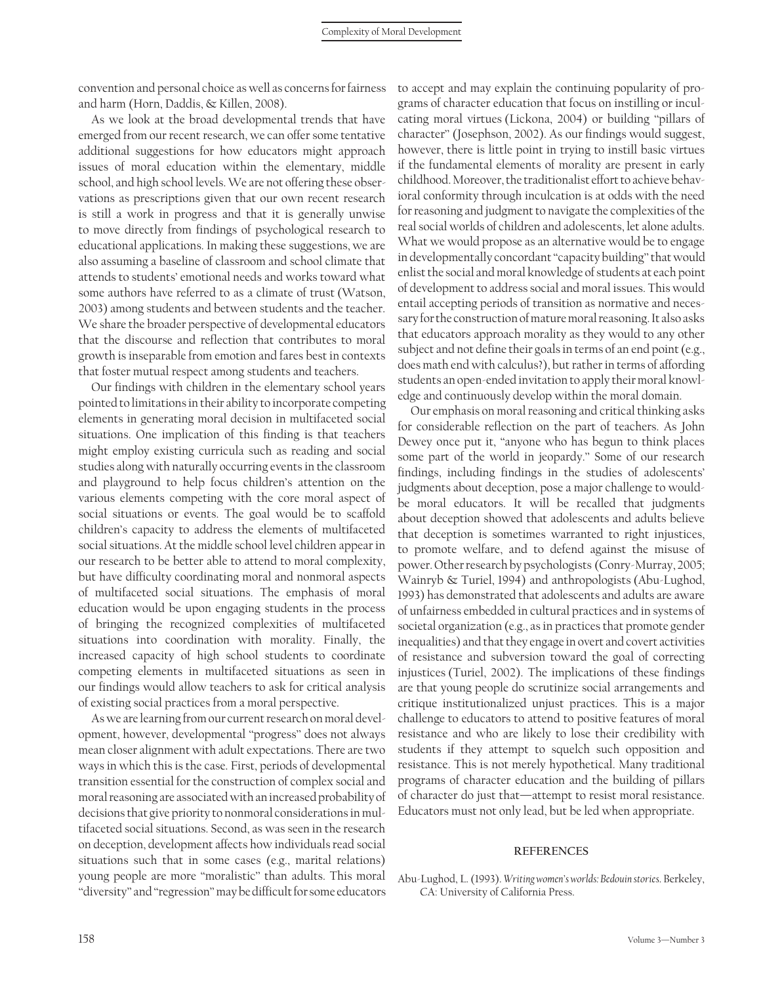convention and personal choice as well as concerns for fairness and harm (Horn, Daddis, & Killen, 2008).

As we look at the broad developmental trends that have emerged from our recent research, we can offer some tentative additional suggestions for how educators might approach issues of moral education within the elementary, middle school, and high school levels.We are not offering these observations as prescriptions given that our own recent research is still a work in progress and that it is generally unwise to move directly from findings of psychological research to educational applications. In making these suggestions, we are also assuming a baseline of classroom and school climate that attends to students' emotional needs and works toward what some authors have referred to as a climate of trust (Watson, 2003) among students and between students and the teacher. We share the broader perspective of developmental educators that the discourse and reflection that contributes to moral growth is inseparable from emotion and fares best in contexts that foster mutual respect among students and teachers.

Our findings with children in the elementary school years pointed to limitations in their ability to incorporate competing elements in generating moral decision in multifaceted social situations. One implication of this finding is that teachers might employ existing curricula such as reading and social studies along with naturally occurring events in the classroom and playground to help focus children's attention on the various elements competing with the core moral aspect of social situations or events. The goal would be to scaffold children's capacity to address the elements of multifaceted social situations. At the middle school level children appear in our research to be better able to attend to moral complexity, but have difficulty coordinating moral and nonmoral aspects of multifaceted social situations. The emphasis of moral education would be upon engaging students in the process of bringing the recognized complexities of multifaceted situations into coordination with morality. Finally, the increased capacity of high school students to coordinate competing elements in multifaceted situations as seen in our findings would allow teachers to ask for critical analysis of existing social practices from a moral perspective.

As we are learning from our current research on moral development, however, developmental ''progress'' does not always mean closer alignment with adult expectations. There are two ways in which this is the case. First, periods of developmental transition essential for the construction of complex social and moral reasoning are associated with an increased probability of decisions that give priority to nonmoral considerations in multifaceted social situations. Second, as was seen in the research on deception, development affects how individuals read social situations such that in some cases (e.g., marital relations) young people are more ''moralistic'' than adults. This moral "diversity" and "regression" may be difficult for some educators to accept and may explain the continuing popularity of programs of character education that focus on instilling or inculcating moral virtues (Lickona, 2004) or building ''pillars of character'' (Josephson, 2002). As our findings would suggest, however, there is little point in trying to instill basic virtues if the fundamental elements of morality are present in early childhood.Moreover, the traditionalist effort to achieve behavioral conformity through inculcation is at odds with the need for reasoning and judgment to navigate the complexities of the real social worlds of children and adolescents, let alone adults. What we would propose as an alternative would be to engage in developmentally concordant "capacity building" that would enlist the social and moral knowledge of students at each point of development to address social and moral issues. This would entail accepting periods of transition as normative and necessary for the construction of mature moral reasoning. It also asks that educators approach morality as they would to any other subject and not define their goals in terms of an end point (e.g., does math end with calculus?), but rather in terms of affording students an open-ended invitation to apply their moral knowledge and continuously develop within the moral domain.

Our emphasis on moral reasoning and critical thinking asks for considerable reflection on the part of teachers. As John Dewey once put it, ''anyone who has begun to think places some part of the world in jeopardy.'' Some of our research findings, including findings in the studies of adolescents' judgments about deception, pose a major challenge to wouldbe moral educators. It will be recalled that judgments about deception showed that adolescents and adults believe that deception is sometimes warranted to right injustices, to promote welfare, and to defend against the misuse of power. Other research by psychologists (Conry-Murray, 2005; Wainryb & Turiel, 1994) and anthropologists (Abu-Lughod, 1993) has demonstrated that adolescents and adults are aware of unfairness embedded in cultural practices and in systems of societal organization (e.g., as in practices that promote gender inequalities) and that they engage in overt and covert activities of resistance and subversion toward the goal of correcting injustices (Turiel, 2002). The implications of these findings are that young people do scrutinize social arrangements and critique institutionalized unjust practices. This is a major challenge to educators to attend to positive features of moral resistance and who are likely to lose their credibility with students if they attempt to squelch such opposition and resistance. This is not merely hypothetical. Many traditional programs of character education and the building of pillars of character do just that—attempt to resist moral resistance. Educators must not only lead, but be led when appropriate.

#### **REFERENCES**

Abu-Lughod, L. (1993). *Writing women's worlds: Bedouin stories*. Berkeley, CA: University of California Press.